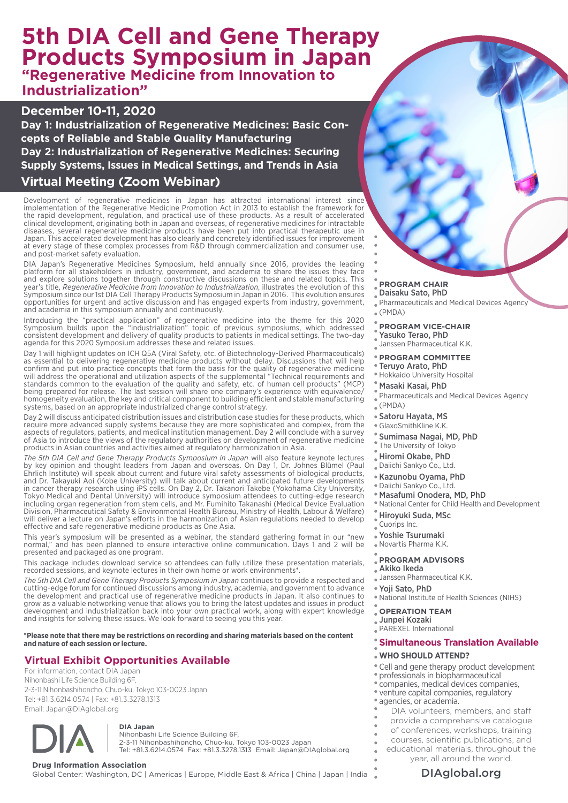# **5th DIA Cell and Gene Therapy Products Symposium in Japan "Regenerative Medicine from Innovation to Industrialization"**

### **December 10-11, 2020**

**Day 1: Industrialization of Regenerative Medicines: Basic Concepts of Reliable and Stable Quality Manufacturing Day 2: Industrialization of Regenerative Medicines: Securing Supply Systems, Issues in Medical Settings, and Trends in Asia**

### **Virtual Meeting (Zoom Webinar)**

Development of regenerative medicines in Japan has attracted international interest since implementation of the Regenerative Medicine Promotion Act in 2013 to establish the framework for the rapid development, regulation, and practical use of these products. As a result of accelerated clinical development, originating both in Japan and overseas, of regenerative medicines for intractable diseases, several regenerative medicine products have been put into practical therapeutic use in Japan. This accelerated development has also clearly and concretely identified issues for improvement at every stage of these complex processes from R&D through commercialization and consumer use, and post-market safety evaluation.

DIA Japan's Regenerative Medicines Symposium, held annually since 2016, provides the leading platform for all stakeholders in industry, government, and academia to share the issues they face and explore solutions together through constructive discussions on these and related topics. This year's title, *Regenerative Medicine from Innovation to Industrialization*, illustrates the evolution of this Symposium since our 1st DIA Cell Therapy Products Symposium in Japan in 2016. This evolution ensures opportunities for urgent and active discussion and has engaged experts from industry, government, and academia in this symposium annually and continuously.

Introducing the "practical application" of regenerative medicine into the theme for this 2020 Symposium builds upon the "industrialization" topic of previous symposiums, which addressed consistent development and delivery of quality products to patients in medical settings. The two-day agenda for this 2020 Symposium addresses these and related issues.

Day 1 will highlight updates on ICH Q5A (Viral Safety, etc. of Biotechnology-Derived Pharmaceuticals) as essential to delivering regenerative medicine products without delay. Discussions that will help confirm and put into practice concepts that form the basis for the quality of regenerative medicine will address the operational and utilization aspects of the supplemental "Technical requirements and standards common to the evaluation of the quality and safety, etc. of human cell products" (MCP) being prepared for release. The last session will share one company's experience with equivalence/ homogeneity evaluation, the key and critical component to building efficient and stable manufacturing systems, based on an appropriate industrialized change control strategy.

Day 2 will discuss anticipated distribution issues and distribution case studies for these products, which require more advanced supply systems because they are more sophisticated and complex, from the aspects of regulators, patients, and medical institution management. Day 2 will conclude with a survey of Asia to introduce the views of the regulatory authorities on development of regenerative medicine products in Asian countries and activities aimed at regulatory harmonization in Asia.

*The 5th DIA Cell and Gene Therapy Products Symposium in Japan* will also feature keynote lectures by key opinion and thought leaders from Japan and overseas. On Day 1, Dr. Johnes Blümel (Paul Ehrlich Institute) will speak about current and future viral safety assessments of biological products, and Dr. Takayuki Aoi (Kobe University) will talk about current and anticipated future developments in cancer therapy research using iPS cells. On Day 2, Dr. Takanori Takebe (Yokohama City University, Tokyo Medical and Dental University) will introduce symposium attendees to cutting-edge research including organ regeneration from stem cells, and Mr. Fumihito Takanashi (Medical Device Evaluation Division, Pharmaceutical Safety & Environmental Health Bureau, Ministry of Health, Labour & Welfare) will deliver a lecture on Japan's efforts in the harmonization of Asian regulations needed to develop effective and safe regenerative medicine products as One Asia.

This year's symposium will be presented as a webinar, the standard gathering format in our "new normal," and has been planned to ensure interactive online communication. Days 1 and 2 will be presented and packaged as one program.

This package includes download service so attendees can fully utilize these presentation materials, recorded sessions, and keynote lectures in their own home or work environments\*.

*The 5th DIA Cell and Gene Therapy Products Symposium in Japan* continues to provide a respected and cutting-edge forum for continued discussions among industry, academia, and government to advance the development and practical use of regenerative medicine products in Japan. It also continues to grow as a valuable networking venue that allows you to bring the latest updates and issues in product development and industrialization back into your own practical work, along with expert knowledge and insights for solving these issues. We look forward to seeing you this year.

**\*Please note that there may be restrictions on recording and sharing materials based on the content and nature of each session or lecture.**

## **Virtual Exhibit Opportunities Available**

For information, contact DIA Japan Nihonbashi Life Science Building 6F, 2-3-11 Nihonbashihoncho, Chuo-ku, Tokyo 103-0023 Japan Tel: +81.3.6214.0574 | Fax: +81.3.3278.1313 Email: Japan@DIAglobal.org



**DIA Japan** Nihonbashi Life Science Building 6F, 2-3-11 Nihonbashihoncho, Chuo-ku, Tokyo 103-0023 Japan Tel: +81.3.6214.0574 Fax: +81.3.3278.1313 Email: Japan@DIAglobal.org

**Drug Information Association**<br>Global Center: Washington, DC | Americas | Europe, Middle East & Africa | China | Japan | India **Namerica | DIAglobal.org** 

#### **PROGRAM CHAIR** Daisaku Sato, PhD

- Pharmaceuticals and Medical Devices Agency
- (PMDA)

#### **PROGRAM VICE-CHAIR**

- Yasuko Terao, PhD
- Janssen Pharmaceutical K.K.

### **PROGRAM COMMITTEE**

- Teruyo Arato, PhD
- Hokkaido University Hospital

### Masaki Kasai, PhD

- Pharmaceuticals and Medical Devices Agency (PMDA)
- 
- Satoru Hayata, MS
- GlaxoSmithKline K.K.
- Sumimasa Nagai, MD, PhD
- The University of Tokyo
- Hiromi Okabe, PhD
- Daiichi Sankyo Co., Ltd.
- Kazunobu Oyama, PhD
- Daiichi Sankyo Co., Ltd.
- Masafumi Onodera, MD, PhD
- National Center for Child Health and Development
- Hiroyuki Suda, MSc
- Cuorips Inc.
- Yoshie Tsurumaki
- Novartis Pharma K.K.

#### **PROGRAM ADVISORS**

- Akiko Ikeda
- Janssen Pharmaceutical K.K.
- Yoji Sato, PhD
- National Institute of Health Sciences (NIHS)

#### **OPERATION TEAM**

- Junpei Kozaki
- PAREXEL International

#### **Simultaneous Translation Available**

#### **WHO SHOULD ATTEND?**

- Cell and gene therapy product development
- professionals in biopharmaceutical
- companies, medical devices companies,
- venture capital companies, regulatory
- agencies, or academia.
- DIA volunteers, members, and staff
- provide a comprehensive catalogue
- of conferences, workshops, training
- courses, scientific publications, and
	- educational materials, throughout the
		- year, all around the world.

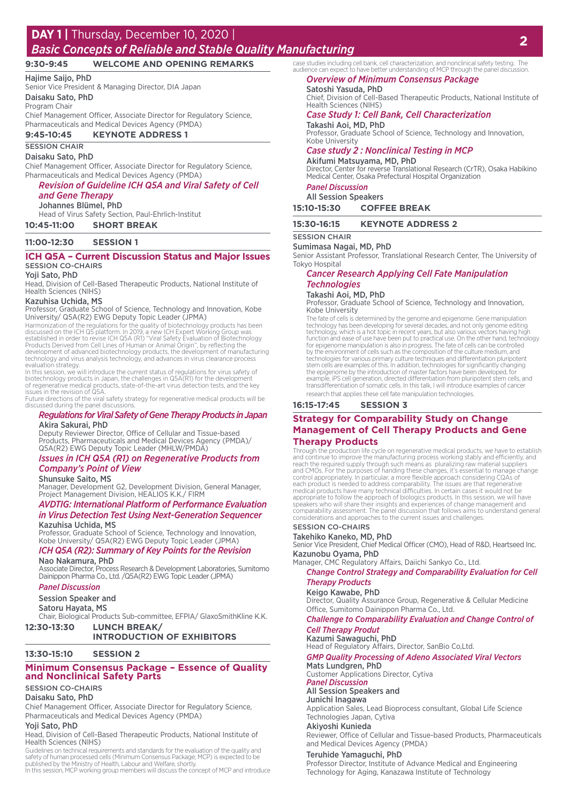### **DAY 1 |** Thursday, December 10, 2020 |

# *Basic Concepts of Reliable and Stable Quality Manufacturing* **<sup>2</sup>**

#### **9:30-9:45 WELCOME AND OPENING REMARKS**

### Hajime Saijo, PhD

Senior Vice President & Managing Director, DIA Japan

### Daisaku Sato, PhD

Program Chair

Chief Management Officer, Associate Director for Regulatory Science, Pharmaceuticals and Medical Devices Agency (PMDA) **9:45-10:45 KEYNOTE ADDRESS 1**

### SESSION CHAIR

Daisaku Sato, PhD Chief Management Officer, Associate Director for Regulatory Science,

Pharmaceuticals and Medical Devices Agency (PMDA)

#### *Revision of Guideline ICH Q5A and Viral Safety of Cell and Gene Therapy*

Johannes Blümel, PhD

Head of Virus Safety Section, Paul-Ehrlich-Institut **10:45-11:00 SHORT BREAK**

#### **11:00-12:30 SESSION 1**

#### **ICH Q5A – Current Discussion Status and Major Issues** SESSION CO-CHAIRS

#### Yoji Sato, PhD

Head, Division of Cell-Based Therapeutic Products, National Institute of Health Sciences (NIHS)

#### Kazuhisa Uchida, MS

Professor, Graduate School of Science, Technology and Innovation, Kobe University/ Q5A(R2) EWG Deputy Topic Leader (JPMA)

Harmonization of the regulations for the quality of biotechnology products has been<br>discussed on the ICH Q5 platform. In 2019, a new ICH Expert Working Group was<br>established in order to revise ICH Q5A (R1) "Viral Safety Ev development of advanced biotechnology products, the development of manufacturing technology and virus analysis technology, and advances in virus clearance process

evaluation strategy.<br>In this session, we will introduce the current status of regulations for virus safety of<br>biotechnology products in Japan, the challenges in Q5A(R1) for the development<br>of regenerative medical products, issues in the revision of Q5A. Future directions of the viral safety strategy for regenerative medical products will be

discussed during the panel discussions.

#### *Regulations for Viral Safety of Gene Therapy Products in Japan* Akira Sakurai, PhD

Deputy Reviewer Director, Office of Cellular and Tissue-based Products, Pharmaceuticals and Medical Devices Agency (PMDA)/ Q5A(R2) EWG Deputy Topic Leader (MHLW/PMDA)

*Issues in ICH Q5A (R1) on Regenerative Products from Company's Point of View*

### Shunsuke Saito, MS

Manager, Development G2, Development Division, General Manager, Project Management Division, HEALIOS K.K./ FIRM

### *AVDTIG: International Platform of Performance Evaluation in Virus Detection Test Using Next-Generation Sequencer*

**Kazuhisa Uchida, MS**<br>Professor, Graduate School of Science, Technology and Innovation, Kobe University/ Q5A(R2) EWG Deputy Topic Leader (JPMA)

### *ICH Q5A (R2): Summary of Key Points for the Revision*

Nao Nakamura, PhD Associate Director, Process Research & Development Laboratories, Sumitomo Dainippon Pharma Co., Ltd. /Q5A(R2) EWG Topic Leader (JPMA)

#### *Panel Discussion*

Session Speaker and

**Satoru Hayata, MS**<br>Chair, Biological Products Sub-committee, EFPIA/ GlaxoSmithKline K.K.

**12:30-13:30 LUNCH BREAK/**

#### **INTRODUCTION OF EXHIBITORS**

#### **13:30-15:10 SESSION 2**

#### **Minimum Consensus Package – Essence of Quality and Nonclinical Safety Parts**

#### SESSION CO-CHAIRS

Daisaku Sato, PhD

Chief Management Officer, Associate Director for Regulatory Science, Pharmaceuticals and Medical Devices Agency (PMDA)

#### Yoji Sato, PhD

Head, Division of Cell-Based Therapeutic Products, National Institute of Health Sciences (NIHS)

Guidelines on technical requirements and standards for the evaluation of the quality and safety of human processed cells (Minimum Consensus Package; MCP) is expected to be<br>published by the Ministry of Health, Labour and Welfare, shortly.<br>In this session, MCP working group members will discuss the concept of MC

case studies including cell bank, cell characterization, and nonclinical safety testing. The audience can expect to have better understanding of MCP through the panel discussion. *Overview of Minimum Consensus Package*

### Satoshi Yasuda, PhD

Chief, Division of Cell-Based Therapeutic Products, National Institute of Health Sciences (NIHS)

#### *Case Study 1: Cell Bank, Cell Characterization* Takashi Aoi, MD, PhD

Professor, Graduate School of Science, Technology and Innovation, Kobe University

### *Case study 2 : Nonclinical Testing in MCP*

Akifumi Matsuyama, MD, PhD Director, Center for reverse Translational Research (CrTR), Osaka Habikino Medical Center, Osaka Prefectural Hospital Organization

#### *Panel Discussion* All Session Speakers

| <b>AII JESSIUII JUCANEIS</b> |                     |  |
|------------------------------|---------------------|--|
| 15:10-15:30                  | <b>COFFEE BREAK</b> |  |

| 15:30-16:15 | <b>KEYNOTE ADDRESS 2</b> |
|-------------|--------------------------|
|             |                          |

#### SESSION CHAIR

Sumimasa Nagai, MD, PhD

Senior Assistant Professor, Translational Research Center, The University of Tokyo Hospital

#### *Cancer Research Applying Cell Fate Manipulation Technologies*

#### Takashi Aoi, MD, PhD

Professor, Graduate School of Science, Technology and Innovation, Kobe University

The fate of cells is determined by the genome and epigenome. Gene manipulation technology has been developing for several decades, and not only genome editing technology, which is a hot topic in recent years, but also various vectors having high function and ease of use have been put to practical use. On the other hand, technology for epigenome manipulation is also in progress. The fate of cells can be controlled by the environment of cells such as the composition of the culture medium, and<br>technologies for various primary culture techniques and differentiation pluripotent<br>stem cells are examples of this. In addition, technologies example, iPS cell generation, directed differentiation from pluripotent stem cells, and transdifferentiation of somatic cells. In this talk, I will introduce examples of cancer research that applies these cell fate manipulation technologies.

#### **16:15-17:45 SESSION 3**

### **Strategy for Comparability Study on Change Management of Cell Therapy Products and Gene Therapy Products**

Through the production life cycle on regenerative medical products, we have to establish<br>and continue to improve the manufacturing process working stably and efficiently, and<br>reach the required supply through such means as control appropriately. In particular, a more flexible approach considering CQAs of each product is needed to address comparability. The issues are that regenerative medical products have many technical difficulties. In certain cases it would not be<br>appropriate to follow the approach of biologics products. In this session, we will have<br>speakers who will share their insights and experie comparability assessment. The panel discussion that follows aims to understand general considerations and approaches to the current issues and challenges.

### SESSION CO-CHAIRS

Takehiko Kaneko, MD, PhD Senior Vice President, Chief Medical Officer (CMO), Head of R&D, Heartseed Inc. Kazunobu Oyama, PhD

Manager, CMC Regulatory Affairs, Daiichi Sankyo Co., Ltd.

*Change Control Strategy and Comparability Evaluation for Cell Therapy Products*

#### Keigo Kawabe, PhD

Director, Quality Assurance Group, Regenerative & Cellular Medicine Office, Sumitomo Dainippon Pharma Co., Ltd.

#### *Challenge to Comparability Evaluation and Change Control of Cell Therapy Produt*

### Kazumi Sawaguchi, PhD

Head of Regulatory Affairs, Director, SanBio Co,Ltd.

#### *GMP Quality Processing of Adeno Associated Viral Vectors* Mats Lundgren, PhD

Customer Applications Director, Cytiva

### *Panel Discussion*

#### All Session Speakers and Junichi Inagawa

Application Sales, Lead Bioprocess consultant, Global Life Science Technologies Japan, Cytiva

#### Akiyoshi Kunieda

Reviewer, Office of Cellular and Tissue-based Products, Pharmaceuticals and Medical Devices Agency (PMDA)

#### Teruhide Yamaguchi, PhD

Professor Director, Institute of Advance Medical and Engineering Technology for Aging, Kanazawa Institute of Technology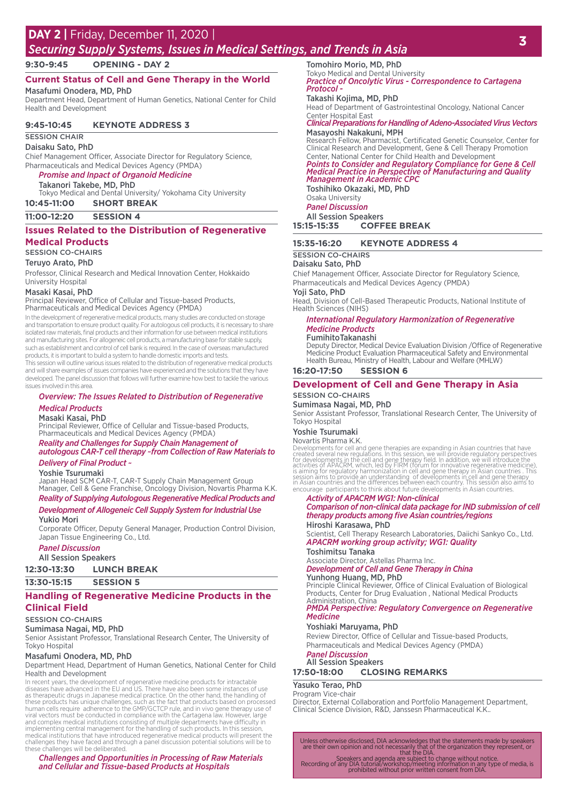# **<sup>3</sup> DAY 2 |** Friday, December 11, 2020 |

### *Securing Supply Systems, Issues in Medical Settings, and Trends in Asia*

**9:30-9:45 OPENING - DAY 2**

### **Current Status of Cell and Gene Therapy in the World**

Masafumi Onodera, MD, PhD Department Head, Department of Human Genetics, National Center for Child Health and Development

#### **9:45-10:45 KEYNOTE ADDRESS 3**

SESSION CHAIR

Daisaku Sato, PhD

Chief Management Officer, Associate Director for Regulatory Science, Pharmaceuticals and Medical Devices Agency (PMDA)

*Promise and Inpact of Organoid Medicine*

#### Takanori Takebe, MD, PhD

Tokyo Medical and Dental University/ Yokohama City University

- **10:45-11:00 SHORT BREAK**
- **11:00-12:20 SESSION 4**

#### **Issues Related to the Distribution of Regenerative Medical Products**

#### SESSION CO-CHAIRS

Teruyo Arato, PhD

Professor, Clinical Research and Medical Innovation Center, Hokkaido University Hospital

#### Masaki Kasai, PhD

Principal Reviewer, Office of Cellular and Tissue-based Products, Pharmaceuticals and Medical Devices Agency (PMDA)

In the development of regenerative medical products, many studies are conducted on storage and transportation to ensure product quality. For autologous cell products, it is necessary to share isolated raw materials, final products and their information for use between medical institutions and manufacturing sites. For allogeneic cell products, a manufacturing base for stable supply, such as establishment and control of cell bank is required. In the case of overseas manufactured products, it is important to build a system to handle domestic imports and tests.

This session will outline various issues related to the distribution of regenerative medical products and will share examples of issues companies have experienced and the solutions that they have developed. The panel discussion that follows will further examine how best to tackle the various issues involved in this area.

#### *Overview: The Issues Related to Distribution of Regenerative Medical Products*

#### Masaki Kasai, PhD

Principal Reviewer, Office of Cellular and Tissue-based Products, Pharmaceuticals and Medical Devices Agency (PMDA)

### *Reality and Challenges for Supply Chain Management of autologous CAR-T cell therapy ~from Collection of Raw Materials to*

### *Delivery of Final Product ~*

Yoshie Tsurumaki Japan Head SCM CAR-T, CAR-T Supply Chain Management Group Manager, Cell & Gene Franchise, Oncology Division, Novartis Pharma K.K.

*Reality of Supplying Autologous Regenerative Medical Products and Development of Allogeneic Cell Supply System for Industrial Use*

#### Yukio Mori

Corporate Officer, Deputy General Manager, Production Control Division, Japan Tissue Engineering Co., Ltd.

#### *Panel Discussion*

All Session Speakers

**12:30-13:30 LUNCH BREAK**

**13:30-15:15 SESSION 5**

#### **Handling of Regenerative Medicine Products in the Clinical Field**

#### SESSION CO-CHAIRS

Sumimasa Nagai, MD, PhD

Senior Assistant Professor, Translational Research Center, The University of Tokyo Hospital

#### Masafumi Onodera, MD, PhD

Department Head, Department of Human Genetics, National Center for Child Health and Development

In recent years, the development of regenerative medicine products for intractable diseases have advanced in the EU and US. There have also been some instances of use<br>as therapeutic drugs in Japanese medical practice. On the other hand, the handling of<br>these products has unique challenges, such as the fa and complex medical institutions consisting of multiple departments have difficulty in<br>implementing central management for the handling of such products. In this session,<br>medical institutions that have introduced regenerat

#### *Challenges and Opportunities in Processing of Raw Materials and Cellular and Tissue-based Products at Hospitals*

Tomohiro Morio, MD, PhD

Tokyo Medical and Dental University *Practice of Oncolytic Virus - Correspondence to Cartagena Protocol -*

#### Takashi Kojima, MD, PhD

Head of Department of Gastrointestinal Oncology, National Cancer Center Hospital East

#### *Clinical Preparations for Handling of Adeno-Associated Virus Vectors* Masayoshi Nakakuni, MPH

Research Fellow, Pharmacist, Certificated Genetic Counselor, Center for Clinical Research and Development, Gene & Cell Therapy Promotion

#### Center, National Center for Child Health and Development *Points to Consider and Regulatory Compliance for Gene & Cell Medical Practice in Perspective of Manufacturing and Quality Management in Academic CPC*

Toshihiko Okazaki, MD, PhD Osaka University

*Panel Discussion*

All Session Speakers<br>15:15-15:35 COFF **15:15-15:35 COFFEE BREAK**

#### **15:35-16:20 KEYNOTE ADDRESS 4**

### SESSION CO-CHAIRS

#### Daisaku Sato, PhD

Chief Management Officer, Associate Director for Regulatory Science, Pharmaceuticals and Medical Devices Agency (PMDA)

#### Yoji Sato, PhD

Head, Division of Cell-Based Therapeutic Products, National Institute of Health Sciences (NIHS)

#### *International Regulatory Harmonization of Regenerative Medicine Products*

#### FumihitoTakanashi

Deputy Director, Medical Device Evaluation Division /Office of Regenerative Medicine Product Evaluation Pharmaceutical Safety and Environmental Health Bureau, Ministry of Health, Labour and Welfare (MHLW)

#### **16:20-17:50 SESSION 6**

#### **Development of Cell and Gene Therapy in Asia** SESSION CO-CHAIRS

#### Sumimasa Nagai, MD, PhD

Senior Assistant Professor, Translational Research Center, The University of Tokyo Hospital

### Yoshie Tsurumaki

#### Novartis Pharma K.K.

Developments for cell and gene therapies are expanding in Asian countries that have<br>created several new regulations. In this session, we will provide regulatory perspectives<br>for developments in the cell and gene therapy fi

### *Activity of APACRM WG1: Non-clinical*

*Comparison of non-clinical data package for IND submission of cell therapy products among five Asian countries/regions* Hiroshi Karasawa, PhD

Scientist, Cell Therapy Research Laboratories, Daiichi Sankyo Co., Ltd. *APACRM working group activity; WG1: Quality*

### Toshimitsu Tanaka

Associate Director, Astellas Pharma Inc. *Development of Cell and Gene Therapy in China*

### Yunhong Huang, MD, PhD

Principle Clinical Reviewer, Office of Clinical Evaluation of Biological Products, Center for Drug Evaluation , National Medical Products

### Administration, China *PMDA Perspective: Regulatory Convergence on Regenerative Medicine*

#### Yoshiaki Maruyama, PhD

Review Director, Office of Cellular and Tissue-based Products, Pharmaceuticals and Medical Devices Agency (PMDA)

#### *Panel Discussion* All Session Speakers

#### **17:50-18:00 CLOSING REMARKS**

#### Yasuko Terao, PhD

Program Vice-chair Director, External Collaboration and Portfolio Management Department, Clinical Science Division, R&D, Janssesn Pharmaceutical K.K..

Unless otherwise disclosed, DIA acknowledges that the statements made by speakers<br>are their own opinion and not necessarily that of the organization they represent, or<br>that the DIA.

Speakers and agenda are subject to change without notice.<br>Recording of any DIA tutorial/workshop/meeting information in any type of media, is<br>Recording of any prohibited without prior written consent from DIA.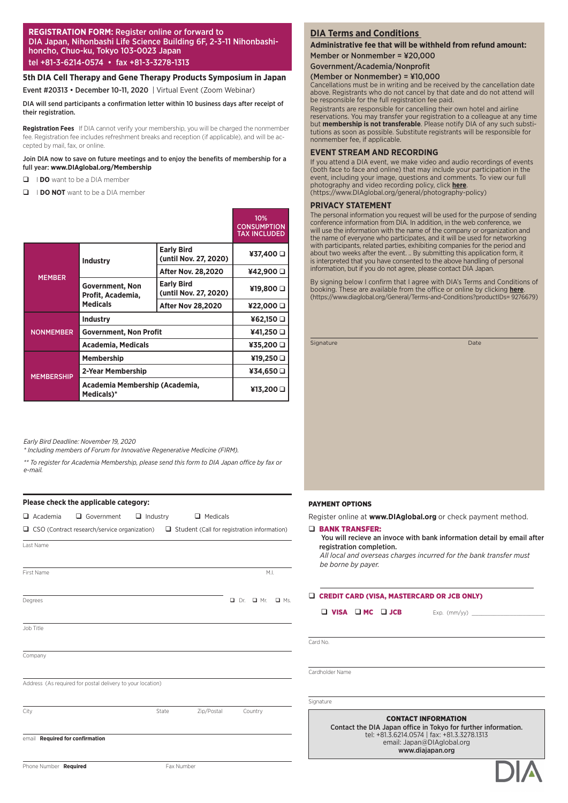#### **REGISTRATION FORM:** Register online or forward to DIA Japan, Nihonbashi Life Science Building 6F, 2-3-11 Nihonbashihoncho, Chuo-ku, Tokyo 103-0023 Japan tel +81-3-6214-0574 • fax +81-3-3278-1313

#### **5th DIA Cell Therapy and Gene Therapy Products Symposium in Japan**

Event #20313 • December 10-11, 2020 | Virtual Event (Zoom Webinar)

DIA will send participants a confirmation letter within 10 business days after receipt of their registration.

Registration Fees If DIA cannot verify your membership, you will be charged the nonmember fee. Registration fee includes refreshment breaks and reception (if applicable), and will be accepted by mail, fax, or online.

#### Join DIA now to save on future meetings and to enjoy the benefits of membership for a full year: **www.DIAglobal.org/Membership**

- **Q** IDO want to be a DIA member
- **Q I DO NOT** want to be a DIA member

|                   |                                              |                                            | 10%<br><b>CONSUMPTION</b><br><b>TAX INCLUDED</b> |
|-------------------|----------------------------------------------|--------------------------------------------|--------------------------------------------------|
|                   | <b>Industry</b>                              | <b>Early Bird</b><br>(until Nov. 27, 2020) | ¥37,400 Q                                        |
|                   |                                              | <b>After Nov. 28,2020</b>                  | ¥42,900 O                                        |
| <b>MEMBER</b>     | <b>Government, Non</b><br>Profit, Academia,  | <b>Early Bird</b><br>(until Nov. 27, 2020) | ¥19,800 □                                        |
|                   | <b>Medicals</b>                              | <b>After Nov 28,2020</b>                   | ¥22,000 O                                        |
|                   | <b>Industry</b>                              | ¥62,150 Q                                  |                                                  |
| <b>NONMEMBER</b>  | <b>Government, Non Profit</b>                | ¥41,250 □                                  |                                                  |
|                   | Academia, Medicals                           | ¥35,200 □                                  |                                                  |
|                   | <b>Membership</b>                            | ¥19,250 □                                  |                                                  |
| <b>MEMBERSHIP</b> | 2-Year Membership                            | ¥34,650 □                                  |                                                  |
|                   | Academia Membership (Academia,<br>Medicals)* |                                            | ¥13,200 D                                        |

*Early Bird Deadline: November 19, 2020*

*\* Including members of Forum for Innovative Regenerative Medicine (FIRM).*

*\*\* To register for Academia Membership, please send this form to DIA Japan office by fax or e-mail.*

#### **Please check the applicable category:**

| $\Box$ Academia                 | Government                                                                                             | $\Box$ Industry | $\Box$ Medicals |                          |            |
|---------------------------------|--------------------------------------------------------------------------------------------------------|-----------------|-----------------|--------------------------|------------|
|                                 | $\Box$ CSO (Contract research/service organization) $\Box$ Student (Call for registration information) |                 |                 |                          |            |
| Last Name                       |                                                                                                        |                 |                 |                          |            |
| First Name                      |                                                                                                        |                 |                 |                          | M.L.       |
| Degrees                         |                                                                                                        |                 |                 | $\Box$ Mr.<br>$\Box$ Dr. | $\Box$ Ms. |
| Job Title                       |                                                                                                        |                 |                 |                          |            |
| Company                         |                                                                                                        |                 |                 |                          |            |
|                                 | Address (As required for postal delivery to your location)                                             |                 |                 |                          |            |
| City                            |                                                                                                        | State           | Zip/Postal      | Country                  |            |
| email Required for confirmation |                                                                                                        |                 |                 |                          |            |

### **DIA Terms and Conditions**

**Administrative fee that will be withheld from refund amount:**  Member or Nonmember = ¥20,000

#### Government/Academia/Nonprofit

#### (Member or Nonmember) = ¥10,000

Cancellations must be in writing and be received by the cancellation date above. Registrants who do not cancel by that date and do not attend will be responsible for the full registration fee paid.

Registrants are responsible for cancelling their own hotel and airline reservations. You may transfer your registration to a colleague at any time but **membership is not transferable**. Please notify DIA of any such substitutions as soon as possible. Substitute registrants will be responsible for nonmember fee, if applicable.

#### **EVENT STREAM AND RECORDING**

If you attend a DIA event, we make video and audio recordings of events (both face to face and online) that may include your participation in the event, including your image, questions and comments. To view our full photography and video recording policy, click **here**. (https://www.DIAglobal.org/general/photography-policy)

#### **PRIVACY STATEMENT**

The personal information you request will be used for the purpose of sending conference information from DIA. In addition, in the web conference, we will use the information with the name of the company or organization and the name of everyone who participates, and it will be used for networking with participants, related parties, exhibiting companies for the period and about two weeks after the event. .. By submitting this application form, it is interpreted that you have consented to the above handling of personal information, but if you do not agree, please contact DIA Japan.

By signing below I confirm that I agree with DIA's Terms and Conditions of booking. These are available from the office or online by clicking **here**. (https://www.diaglobal.org/General/Terms-and-Conditions?productIDs= 9276679)

Signature Date

#### PAYMENT OPTIONS

Register online at **www.DIAglobal.org** or check payment method.

#### q BANK TRANSFER:

#### You will recieve an invoce with bank information detail by email after registration completion.

*All local and overseas charges incurred for the bank transfer must be borne by payer.*

Q CREDIT CARD (VISA, MASTERCARD OR JCB ONLY)

 $\Box$  VISA  $\Box$  MC  $\Box$  JCB Exp. (mm/yy)  $\Box$ 

Card No.

Cardholder Name

Signature

CONTACT INFORMATION

Contact the DIA Japan office in Tokyo for further information. tel: +81.3.6214.0574 | fax: +81.3.3278.1313 email: Japan@DIAglobal.org www.diajapan.org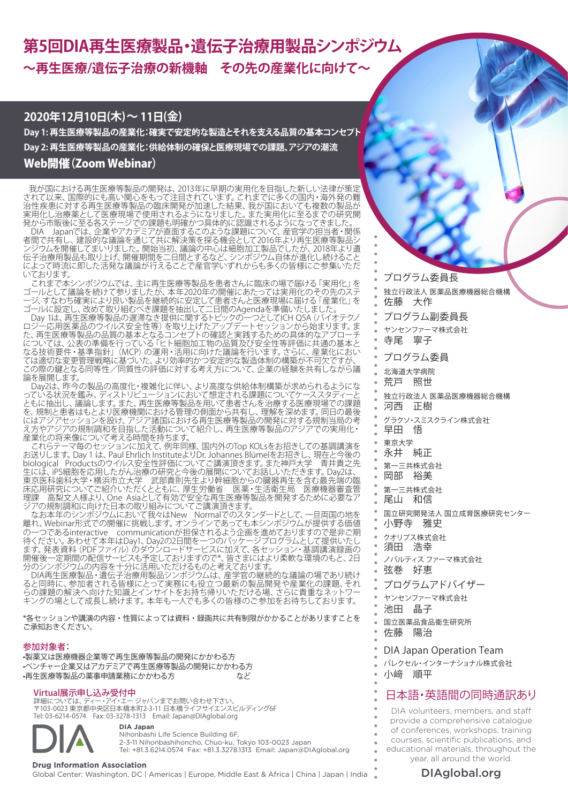# **第5回DIA再生医療製品・遺伝子治療用製品シンポジウム ~再生医療/遺伝子治療の新機軸 その先の産業化に向けて~**

## **2020年12月10日(木)~ 11日(金)**

**Day 1: 再生医療等製品の産業化:確実で安定的な製造とそれを支える品質の基本コンセプト Day 2: 再生医療等製品の産業化:供給体制の確保と医療現場での課題、アジアの潮流** Web開催(Zoom Webinar)

 我が国における再生医療等製品の開発は、2013年に早期の実用化を目指した新しい法律が策定 されて以来、国際的にも高い関心をもって注目されています。これまでに多くの国内・海外発の難 治性疾患に対する再生医療等製品の臨床開発が加速した結果、我が国においても複数の製品が 実用化し治療薬として医療現場で使用されるようになりました。また実用化に至るまでの研究開 発から市販後に至る各ステージでの課題も明確かつ具体的に認識されるようになってきました。

DIA Japanでは、企業やアカデミアが直面するこのような課題について、産官学の担当者・関係 者間で共有し、建設的な議論を通じて共に解決策を探る機会として2016年より再生医療等製品シ ンジウムを開催してまいりました。開始当初、議論の中心は細胞加工製品でしたが、2018年より遺 伝子治療用製品も取り上げ、開催期間を二日間とするなど、シンポジウム自体が進化し続けること によって時流に即した活発な議論が行えることで産官学いずれからも多くの皆様にご参集いただ いております。

これまで本シンポジウムでは、主に再生医療等製品を患者さんに臨床の場で届ける「実用化」を ゴールとして議論を続けて参りましたが、本年2020年の開催にあたっては実用化のその先のステ ージ、すなわち確実により良い製品を継続的に安定して患者さんと医療現場に届ける「産業化」を ゴールに設定し、改めて取り組むべき課題を抽出して二日間のAgendaを準備いたしました。

Day 1は、再生医療等製品の遅滞なき提供に関するトピックの一つとしてICH Q5A(バイオテクノ ロジー応用医薬品のウイルス安全性等)を取り上げたアップデートセッションから始まります。ま た、再生医療等製品の品質の基本となるコンセプトの確認と実践するための具体的なアプローチ については、公表の準備を行っている「ヒト細胞加工物の品質及び安全性等評価に共通の基本と なる技術要件・基準指針」(MCP)の運用・活用に向けた議論を行います。さらに、産業化におい ては適切な変更管理戦略に基づいた、より効率的かつ安定的な製造体制の構築が不可欠ですが、 この際の鍵となる同等性/同質性の評価に対する考え方について、企業の経験を共有しながら議 論を展開します。

Day2は、昨今の製品の高度化・複雑化に伴い、より高度な供給体制構築が求められるようにな っている状況を鑑み、ディストリビューションにおいて想定される課題についてケーススタディーと ともに抽出し、議論します。また、再生医療等製品を用いて患者さんを治療する医療現場での課題 を、規制と患者はもとより医療機関における管理の側面から共有し、理解を深めます。同日の最後 にはアジアセッションを設け、アジア諸国における再生医療等製品の開発に対する規制当局の考 え方やアジアの規制調和を目指した活動について紹介し、再生医療等製品のアジアでの実用化・ 。<br>産業化の将来像について考える時間を持ちます。<br>- これらテーマ毎のセッションに加えて、例年同様、国内外のTop KOLsをお招きしての基調講演を

これらテーマ毎のセッションに加えて、例年同様、国内外のTop KOLsをお招きしての基調講演を お送りします。Day 1 は、Paul Ehrlich InstituteよりDr. Johannes Blümelをお招きし、現在と今後の biological Productsのウイルス安全性評価についてご講演頂きます。また神戸大学 青井貴之先 生には、iPS細胞を応用したがん治療の研究と今後の展開についてお話しいただきます。Day2は、 東京医科歯科大学・横浜市立大学 武部貴則先生より幹細胞からの臓器再生を含む最先端の臨 床応用研究についてご紹介いただくとともに、厚生労働省 医薬・生活衛生局 医療機器審査管 理課 高梨文人様より、One Asiaとして有効で安全な再生医療等製品を開発するために必要なア ジアの規制調和に向けた日本の取り組みについてご講演頂きます。

なお本年のシンポジウムにおいて我々はNew Normalでのスタンダードとして、一旦両国の地を 離れ、Webinar形式での開催に挑戦します。オンラインであっても本シンポジウムが提供する価値 の一つであるinteractive communicationが担保されるよう企画を進めておりますので是非ご期 待ください。あわせて本年はDay1、Day2の2日間を一つのパッケージプログラムとして提供いたし ます。 発表資料 (PDFファイル) のダウンロードサービスに加えて、各セッション・基調講演録画の 開催後一定期間の配信サービスも予定しておりますので\*、皆さまにはより柔軟な環境のもと、2日 分のシンポジウムの内容を十分に活用いただけるものと考えております。

DIA再生医療製品・遺伝子治療用製品シンポジウムは、産学官の継続的な議論の場であり続け ると同時に、参加者される皆様にとって実務にも役立つ最新の製品開発や産業化の課題、それ らの課題の解決へ向けた知識とインサイトをお持ち帰りいただける場、さらに貴重なネットワー キングの場として成長し続けます。本年も一人でも多くの皆様のご参加をお待ちしております。

\*各セッションや講演の内容・性質によっては資料・録画共に共有制限がかかることがありますことを ご承知おきください。

#### 参加対象者:

•製薬又は医療機器企業等で再生医療等製品の開発にかかわる方 •ベンチャー企業又はアカデミアで再生医療等製品の開発にかかわる方 •再生医療等製品の薬事申請業務にかかわる方 インクリング

### Virtual展示申し込み受付中

Virtual展示申し込み受付中<br><sub>詳細については、ディー・アイ・エー ジャパンまでお問い合わせ下さい。</sub> それははは、 インスクランスのサインストンの通信・英語間の同時通訳あり 〒103-0023 東京都中央区日本橋本町2-3-11 日本橋ライフサイエンスビルディング6F Tel: 03-6214-0574 Fax: 03-3278-1313 Email: Japan@DIAglobal.org



**DIA Japan** Nihonbashi Life Science Building 6F, 2-3-11 Nihonbashihoncho, Chuo-ku, Tokyo 103-0023 Japan Tel: +81.3.6214.0574 Fax: +81.3.3278.1313 Email: Japan@DIAglobal.org

**Drug Information Association**<br>Global Center: Washington, DC | Americas | Europe, Middle East & Africa | China | Japan | India **Namerica | DIAglobal.org** 

プログラム委員長

- 独立行政法人 医薬品医療機器総合機構 佐藤 大作
- プログラム副委員長
- ヤンセンファーマ株式会社

寺尾 寧子

プログラム委員

- 北海道大学病院
- 荒戸 照世
- 独立行政法人 医薬品医療機器総合機構
- 河西 正樹
- グラクソ・スミスクライン株式会社
- 早田 悟
- 東京大学
- 永井 純正
- 第一三共株式会社
- 岡部 裕美
- 第一三共株式会社
- 尾山 和信
- 国立研究開発法人 国立成育医療研究センター
- 小野寺 雅史
- クオリプス株式会社
- 須田 浩幸
- ノバルティス ファーマ株式会社
- 弦巻 好恵
- プログラムアドバイザー
- ヤンセンファーマ株式会社
- 池田 晶子
- 国立医薬品食品衛生研究所
- 佐藤 陽治

#### DIA Japan Operation Team

- パレクセル・インターナショナル株式会社
- 小﨑 順平

- DIA volunteers, members, and staff provide a comprehensive catalogue of conferences, workshops, training courses, scientific publications, and educational materials, throughout the year, all around the world.
	-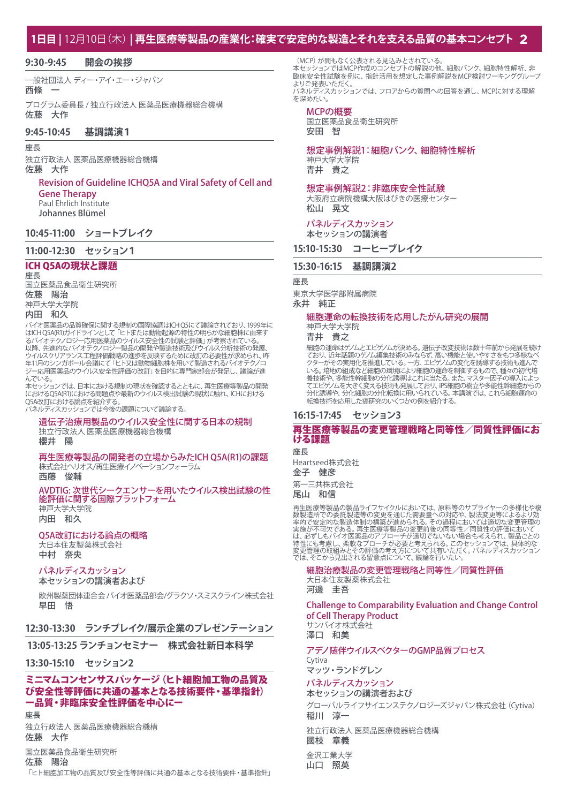## **1日目 |** 12月10日(木) **| 再生医療等製品の産業化:確実で安定的な製造とそれを支える品質の基本コンセプト 2**

#### **9:30-9:45 開会の挨拶**

一般社団法人 ディー・アイ・エー・ジャパン

### 西條 一

プログラム委員長 / 独立行政法人 医薬品医療機器総合機構 佐藤 大作

### **9:45-10:45 基調講演1**

#### 座長

独立行政法人 医薬品医療機器総合機構 佐藤 大作

### Revision of Guideline ICHQ5A and Viral Safety of Cell and Gene Therapy

Paul Ehrlich Institute Johannes Blümel

### **10:45-11:00 ショートブレイク**

#### **11:00-12:30 セッション1**

### ICH Q5Aの現状と課題

座長 国立医薬品食品衛生研究所 佐藤 陽治 神戸大学大学院 内田 和久

バイオ医薬品の品質確保に関する規制の国際協調はICH Q5にて議論されており、1999年に はICH Q5A(R1)ガイドラインとして「ヒトまたは動物起源の特性の明らかな細胞株に由来す るバイオテクノロジー応用医薬品のウイルス安全性の試験と評価」が考察されている。 以降、先進的なバイオテクノロジー製品の開発や製造技術及びウイルス分析技術の発展、 ウイルスクリアランス工程評価戦略の進歩を反映するために改訂の必要性が求められ、昨 年11月のシンガポール会議にて「ヒト又は動物細胞株を用いて製造されるバイオテクノロ ジー応用医薬品のウイルス安全性評価の改訂」を目的に専門家部会が発足し、議論が進 んでいる。

本セッションでは、日本における規制の現状を確認するとともに、再生医療等製品の開発 におけるQ5A(R1)における問題点や最新のウイルス検出試験の現状に触れ、ICHにおける **CSA改訂における論点を紹介する。** 

パネルディスカッションでは今後の課題について議論する。

### 遺伝子治療用製品のウイルス安全性に関する日本の規制 独立行政法人 医薬品医療機器総合機構

櫻井 陽

#### 再生医療等製品の開発者の立場からみたICH Q5A(R1)の課題 株式会社ヘリオス/再生医療イノベーションフォーラム

西藤 俊輔

#### AVDTIG: 次世代シークエンサーを用いたウイルス検出試験の性 能評価に関する国際プラットフォーム 神戸大学大学院

内田 和久

#### Q5A改訂における論点の概略

大日本住友製薬株式会社 中村 奈央

### パネルディスカッション

本セッションの講演者および

欧州製薬団体連合会 バイオ医薬品部会/グラクソ・スミスクライン株式会社 早田 悟

### **12:30-13:30 ランチブレイク/展示企業のプレゼンテーション**

### **13:05-13:25 ランチョンセミナー 株式会社新日本科学**

#### **13:30-15:10 セッション2**

### ミニマムコンセンサスパッケージ (ヒト細胞加工物の品質及 び安全性等評価に共通の基本となる技術要件・基準指針) ー品質・非臨床安全性評価を中心にー

座長

独立行政法人 医薬品医療機器総合機構 佐藤 大作

#### 国立医薬品食品衛生研究所

佐藤 陽治

「ヒト細胞加工物の品質及び安全性等評価に共通の基本となる技術要件・基準指針」

(MCP)が間もなく公表される見込みとされている。 本セッションではMCP作成のコンセプトの解説の他、細胞バンク、細胞特性解析、非 臨床安全性試験を例に、指針活用を想定した事例解説をMCP検討ワーキンググループ よりご発表いただく パネルディスカッションでは、フロアからの質問への回答を通し、MCPに対する理解 を深めたい。

#### MCPの概要

国立医薬品食品衛生研究所 安田 智

### 想定事例解説1:細胞バンク、細胞特性解析

神戸大学大学院 青井 貴之

#### 想定事例解説2:非臨床安全性試験

大阪府立病院機構大阪はびきの医療センター 松山 晃文

#### パネルディスカッション 本セッションの講演者

**15:10-15:30 コーヒーブレイク**

### **15:30-16:15 基調講演2**

座長

東京大学医学部附属病院 永井 純正

#### 細胞運命の転換技術を応用したがん研究の展開 神戸大学大学院

青井 貴之

細胞の運命はゲノムとエピゲノムが決める。遺伝子改変技術は数十年前から発展を続け ており、近年話題のゲノム編集技術のみならず、高い機能と使いやすさをもつ多様なベ クターがその実用化を推進している。一方、エピゲノムの変化を誘導する技術も進んで いる。培地の組成など細胞の環境により細胞の運命を制御するもので、種々の初代培 養技術や、多能性幹細胞の分化誘導はこれに当たる。また、マスター因子の導入によっ てエピゲノムを大きく変える技術も発展しており、iPS細胞の樹立や多能性幹細胞からの 分化誘導や、分化細胞の分化転換に用いられている。本講演では、これら細胞運命の 。<br>転換技術を応用した癌研究のいくつかの例を紹介する。

### **16:15-17:45 セッション3**

#### 再生医療等製品の変更管理戦略と同等性/同質性評価にお ける課題

座長

Heartseed株式会社 金子 健彦

第一三共株式会社

尾山 和信

再生医療等製品の製品ライフサイクルにおいては、原料等のサプライヤーの多様化や複 数製造所での委託製造等の変更を通じた需要量への対応や、製法変更等によるより効 率的で安定的な製造体制の構築が進められる。その過程においては適切な変更管理の 実施が不可欠である。再生医療等製品の変更前後の同等性/同質性の評価において<br>は、必ずしもバイオ医薬品のアプローチが適切でないない場合も考えられ、製品ごとの<br>特性にも考慮し、柔軟なプローチが必要と考えられる。このセッションでは、具体的な<br>変更管理の取組みとその評価の考え方について、議論を行いたい。

細胞治療製品の変更管理戦略と同等性/同質性評価 大日本住友製薬株式会社 河邊 圭吾

Challenge to Comparability Evaluation and Change Control of Cell Therapy Product

サンバイオ株式会社 澤口 和美

#### アデノ随伴ウイルスベクターのGMP品質プロセス Cytiva

マッツ・ランドグレン

#### パネルディスカッション 本セッションの講演者および

グローバルライフサイエンステクノロジーズジャパン株式会社(Cytiva) 稲川 淳一

独立行政法人 医薬品医療機器総合機構

#### 國枝 章義

金沢工業大学 山口 照英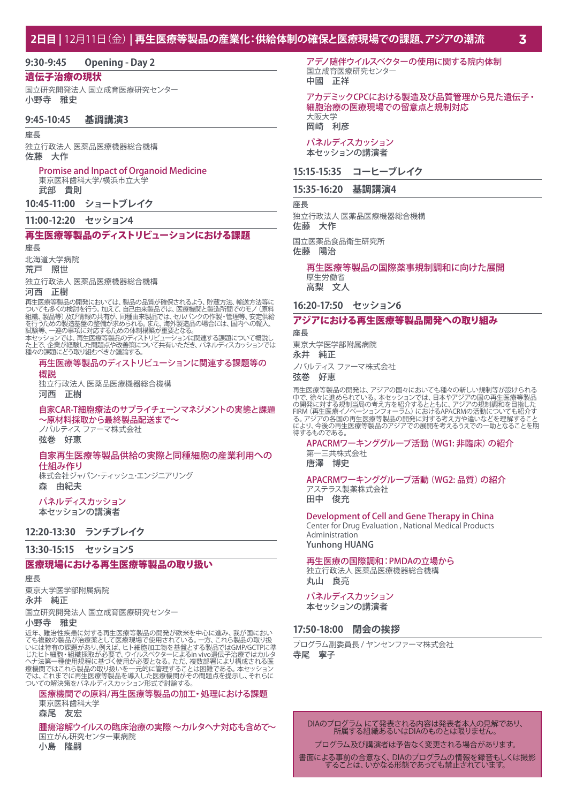#### **9:30-9:45 Opening - Day 2**

#### 遺伝子治療の現状

国立研究開発法人 国立成育医療研究センター 小野寺 雅史

#### **9:45-10:45 基調講演3**

#### 座長

独立行政法人 医薬品医療機器総合機構 佐藤 大作

#### Promise and Inpact of Organoid Medicine

東京医科歯科大学/横浜市立大学

武部 貴則

**10:45-11:00 ショートブレイク**

#### **11:00-12:20 セッション4**

### 再生医療等製品のディストリビューションにおける課題

#### 座長

北海道大学病院 荒戸 照世

独立行政法人 医薬品医療機器総合機構

#### 河西 正樹

再生医療等製品の開発においては、製品の品質が確保されるよう、貯蔵方法、輸送方法等に<br>ついても多くの検討を行う。加えて、自己由来製品では、医療機関と製造所間でのモノ (原料)<br>組織、製品等)及び情報の共有が、同種由来製品では、医療機関と製造所間でのモノ (原料<br>を行うための製造基盤の整備が求められる。また、海外製造品の場合には、国内への輸入、<br>試験等、一連の事項に対応するための体制構築が重要となる。<br>試験等、一連の事項に対応するための体制

た上で、企業が経験した問題点や改善策について共有いただき、パネルディスカッションでは 種々の課題にどう取り組むべきか議論する。

#### 再生医療等製品のディストリビューションに関連する課題等の 概説

独立行政法人 医薬品医療機器総合機構 河西 正樹

#### 自家CAR-T細胞療法のサプライチェーンマネジメントの実態と課題 ~原材料採取から最終製品配送まで~

ノバルティス ファーマ株式会社 弦巻 好恵

## 自家再生医療等製品供給の実際と同種細胞の産業利用への

仕組み作り

株式会社ジャパン・ティッシュ・エンジニアリング 森 由紀夫

#### パネルディスカッション 本セッションの講演者

#### **12:20-13:30 ランチブレイク**

**13:30-15:15 セッション5**

#### 医療現場における再生医療等製品の取り扱い

#### 座長

東京大学医学部附属病院 永井 純正

国立研究開発法人 国立成育医療研究センター

#### 小野寺 雅史

近年、難治性疾患に対する再生医療等製品の開発が欧米を中心に進み、我が国においても複数の製品が治療薬として医療現場で使用されている。一方、これら製品の取り扱いでいたは特有の部以前の取り扱いがあいにはは特有の課題があり、例えば、ヒト細胞加工物を基盤とする製品ではGMP/GCTPに準にとっていたという。これには、これは、これは、これは、これは、<br>いたは特有の説明を説明が必要で、ウイルスベクターによるin vivo遺伝子治療ではカルタ<br>じたとト

#### 医療機関での原料/再生医療等製品の加工・処理における課題 東京医科歯科大学

森尾 友宏

腫瘍溶解ウイルスの臨床治療の実際 ~カルタヘナ対応も含めて~ 国立がん研究センター東病院

小島 隆嗣

アデノ随伴ウイルスベクターの使用に関する院内体制 国立成育医療研究センター 中國 正祥

### アカデミックCPCにおける製造及び品質管理から見た遺伝子・ 細胞治療の医療現場での留意点と規制対応 大阪大学

岡崎 利彦

#### パネルディスカッション 本セッションの講演者

#### **15:15-15:35 コーヒーブレイク**

#### **15:35-16:20 基調講演4**

座長

独立行政法人 医薬品医療機器総合機構 佐藤 大作

国立医薬品食品衛生研究所 佐藤 陽治

### 再生医療等製品の国際薬事規制調和に向けた展開 厚生労働省

高梨 文人

#### **16:20-17:50 セッション6**

#### アジアにおける再生医療等製品開発への取り組み 座長

東京大学医学部附属病院

永井 純正

ノバルティス ファーマ株式会社

#### 弦巻 好恵

再生医療等製品の開発は、アジアの国々においても種々の新しい規制等が設けられる<br>中で、徐々に進められている。本セッションでは、日本やアジアの国の再生医療等製品<br>の開発に対する規制当局の考え方を紹介するとともに、アジアの規制調和を目指した<br>FIRM(再生医療イノベーションフォーラム)におけるAPACRMの活動についても紹介す<br>る。アジアの各国の再生医療等製品の開発に対する考え方や違いなどを理解すること<br>により、今後の再生医療等製品のアジアで 待するものである。

APACRMワーキンググループ活動 (WG1: 非臨床) の紹介 第一三共株式会社 唐澤 博史

#### APACRMワーキンググループ活動 (WG2: 品質) の紹介 アステラス製薬株式会社 田中 俊充

Development of Cell and Gene Therapy in China Center for Drug Evaluation , National Medical Products Administration Yunhong HUANG

### 再生医療の国際調和:PMDAの立場から

独立行政法人 医薬品医療機器総合機構 丸山 良亮

パネルディスカッション

本セッションの講演者

### **17:50-18:00 閉会の挨拶**

プログラム副委員長 / ヤンセンファーマ株式会社 寺尾 寧子

DIAのプログラム にて発表される内容は発表者本人の見解であり、 所属する組織あるいはDIAのものとは限りません。

プログラム及び講演者は予告なく変更される場合があります。

書面による事前の合意なく、DIAのプログラムの情報を録音もしくは撮影 することは、いかなる形態であっても禁止されています。